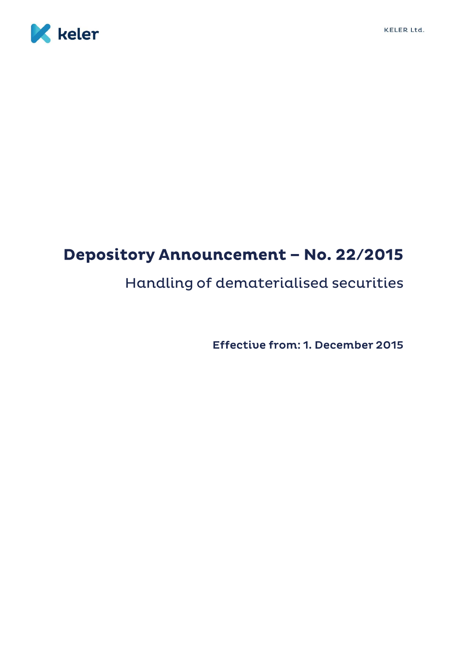

# Depository Announcement - No. 22/2015

# Handling of dematerialised securities

Effective from: 1. December 2015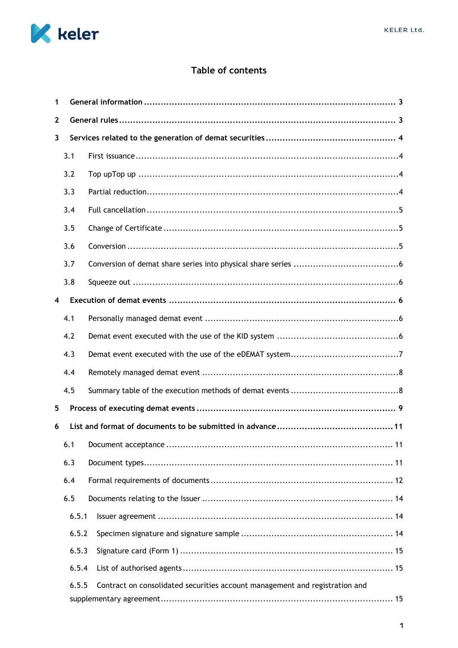

# Table of contents

| $\mathbf{1}$ |       |                                                                             |
|--------------|-------|-----------------------------------------------------------------------------|
| $\mathbf{2}$ |       |                                                                             |
| 3            |       |                                                                             |
|              | 3.1   |                                                                             |
|              | 3.2   |                                                                             |
|              | 3.3   |                                                                             |
|              | 3.4   |                                                                             |
|              | 3.5   |                                                                             |
|              | 3.6   |                                                                             |
|              | 3.7   |                                                                             |
|              | 3.8   |                                                                             |
| 4            |       |                                                                             |
|              | 4.1   |                                                                             |
|              | 4.2   |                                                                             |
|              | 4.3   |                                                                             |
|              | 4.4   |                                                                             |
|              | 4.5   |                                                                             |
| 5            |       |                                                                             |
| 6            |       |                                                                             |
|              |       |                                                                             |
|              | 6.3   |                                                                             |
|              | 6.4   |                                                                             |
|              | 6.5   |                                                                             |
|              | 6.5.1 |                                                                             |
|              | 6.5.2 |                                                                             |
|              | 6.5.3 |                                                                             |
|              | 6.5.4 |                                                                             |
|              | 6.5.5 | Contract on consolidated securities account management and registration and |
|              |       |                                                                             |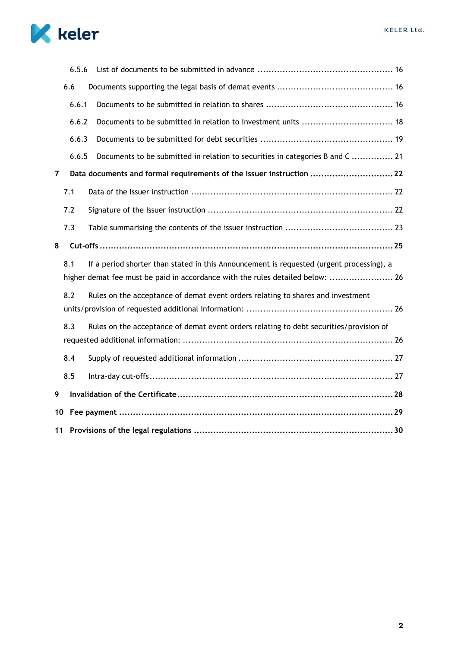

| 10 |       |                                                                                                                                                                            |  |  |  |  |  |
|----|-------|----------------------------------------------------------------------------------------------------------------------------------------------------------------------------|--|--|--|--|--|
| 9  |       |                                                                                                                                                                            |  |  |  |  |  |
|    | 8.5   |                                                                                                                                                                            |  |  |  |  |  |
|    | 8.4   |                                                                                                                                                                            |  |  |  |  |  |
|    |       |                                                                                                                                                                            |  |  |  |  |  |
|    | 8.3   | Rules on the acceptance of demat event orders relating to debt securities/provision of                                                                                     |  |  |  |  |  |
|    |       |                                                                                                                                                                            |  |  |  |  |  |
|    | 8.2   | Rules on the acceptance of demat event orders relating to shares and investment                                                                                            |  |  |  |  |  |
|    | 8.1   | If a period shorter than stated in this Announcement is requested (urgent processing), a<br>higher demat fee must be paid in accordance with the rules detailed below:  26 |  |  |  |  |  |
| 8  |       |                                                                                                                                                                            |  |  |  |  |  |
|    | 7.3   |                                                                                                                                                                            |  |  |  |  |  |
|    | 7.2   |                                                                                                                                                                            |  |  |  |  |  |
|    | 7.1   |                                                                                                                                                                            |  |  |  |  |  |
| 7  |       | Data documents and formal requirements of the Issuer instruction 22                                                                                                        |  |  |  |  |  |
|    | 6.6.5 | Documents to be submitted in relation to securities in categories B and C  21                                                                                              |  |  |  |  |  |
|    | 6.6.3 |                                                                                                                                                                            |  |  |  |  |  |
|    | 6.6.2 | Documents to be submitted in relation to investment units  18                                                                                                              |  |  |  |  |  |
|    | 6.6.1 |                                                                                                                                                                            |  |  |  |  |  |
|    | 6.6   |                                                                                                                                                                            |  |  |  |  |  |
|    | 6.5.6 |                                                                                                                                                                            |  |  |  |  |  |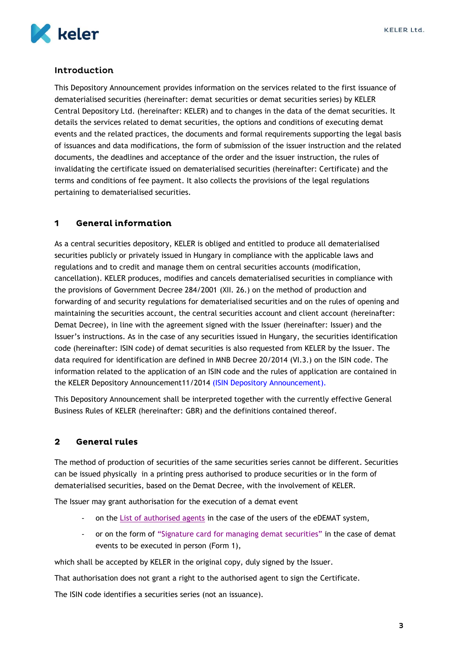

# Introduction

This Depository Announcement provides information on the services related to the first issuance of dematerialised securities (hereinafter: demat securities or demat securities series) by KELER Central Depository Ltd. (hereinafter: KELER) and to changes in the data of the demat securities. It details the services related to demat securities, the options and conditions of executing demat events and the related practices, the documents and formal requirements supporting the legal basis of issuances and data modifications, the form of submission of the issuer instruction and the related documents, the deadlines and acceptance of the order and the issuer instruction, the rules of invalidating the certificate issued on dematerialised securities (hereinafter: Certificate) and the terms and conditions of fee payment. It also collects the provisions of the legal regulations pertaining to dematerialised securities.

#### <span id="page-3-0"></span>**General information** 1

As a central securities depository, KELER is obliged and entitled to produce all dematerialised securities publicly or privately issued in Hungary in compliance with the applicable laws and regulations and to credit and manage them on central securities accounts (modification, cancellation). KELER produces, modifies and cancels dematerialised securities in compliance with the provisions of Government Decree 284/2001 (XII. 26.) on the method of production and forwarding of and security regulations for dematerialised securities and on the rules of opening and maintaining the securities account, the central securities account and client account (hereinafter: Demat Decree), in line with the agreement signed with the Issuer (hereinafter: Issuer) and the Issuer's instructions. As in the case of any securities issued in Hungary, the securities identification code (hereinafter: ISIN code) of demat securities is also requested from KELER by the Issuer. The data required for identification are defined in MNB Decree 20/2014 (VI.3.) on the ISIN code. The information related to the application of an ISIN code and the rules of application are contained in the KELER Depository Announcement11/2014 [\(ISIN Depository Announcement\).](hhttps://english.keler.hu/Key%20documents/Depository%20Announcements/KELER%20Announcement%20-%20ISIN%20Issuance/)

This Depository Announcement shall be interpreted together with the currently effective General Business Rules of KELER (hereinafter: GBR) and the definitions contained thereof.

#### <span id="page-3-1"></span> $\overline{\mathbf{2}}$ **General rules**

The method of production of securities of the same securities series cannot be different. Securities can be issued physically in a printing press authorised to produce securities or in the form of dematerialised securities, based on the Demat Decree, with the involvement of KELER.

The Issuer may grant authorisation for the execution of a demat event

- on the [List of authorised agents](#page-15-1) in the case of the users of the eDEMAT system,
- or on the form of "Signature card [for managing demat securities"](hhttps://english.keler.hu/Key%20documents/Business%20Forms/) in the case of demat events to be executed in person (Form 1),

which shall be accepted by KELER in the original copy, duly signed by the Issuer.

That authorisation does not grant a right to the authorised agent to sign the Certificate.

The ISIN code identifies a securities series (not an issuance).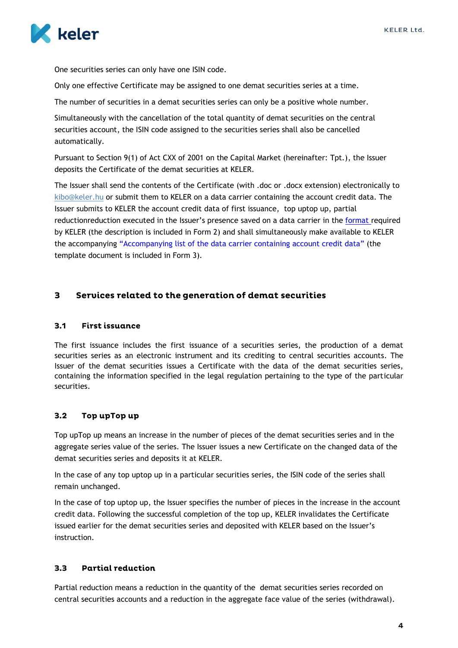

One securities series can only have one ISIN code.

Only one effective Certificate may be assigned to one demat securities series at a time.

The number of securities in a demat securities series can only be a positive whole number.

Simultaneously with the cancellation of the total quantity of demat securities on the central securities account, the ISIN code assigned to the securities series shall also be cancelled automatically.

Pursuant to Section 9(1) of Act CXX of 2001 on the Capital Market (hereinafter: Tpt.), the Issuer deposits the Certificate of the demat securities at KELER.

The Issuer shall send the contents of the Certificate (with .doc or .docx extension) electronically to [kibo@keler.hu](mailto:DEMO@keler.hu) or submit them to KELER on a data carrier containing the account credit data. The Issuer submits to KELER the account credit data of first issuance, top uptop up, partial reductionreduction executed in the Issuer's presence saved on a data carrier in the [format](https://english.keler.hu/Key%20documents/Business%20Forms/) required by KELER (the description is included in Form 2) and shall simultaneously make available to KELER the accompanying "Accompanying list of the data [carrier containing account credit da](https://english.keler.hu/Key%20documents/Business%20Forms/)ta" (the template document is included in Form 3).

#### <span id="page-4-0"></span>Services related to the generation of demat securities  $\mathbf{3}$

#### <span id="page-4-1"></span>**First issuance**  $3.1$

The first issuance includes the first issuance of a securities series, the production of a demat securities series as an electronic instrument and its crediting to central securities accounts. The Issuer of the demat securities issues a Certificate with the data of the demat securities series, containing the information specified in the legal regulation pertaining to the type of the particular securities.

#### <span id="page-4-2"></span> $3.2$ Top upTop up

Top upTop up means an increase in the number of pieces of the demat securities series and in the aggregate series value of the series. The Issuer issues a new Certificate on the changed data of the demat securities series and deposits it at KELER.

In the case of any top uptop up in a particular securities series, the ISIN code of the series shall remain unchanged.

In the case of top uptop up, the Issuer specifies the number of pieces in the increase in the account credit data. Following the successful completion of the top up, KELER invalidates the Certificate issued earlier for the demat securities series and deposited with KELER based on the Issuer's instruction.

#### <span id="page-4-3"></span> $3.3$ **Partial reduction**

Partial reduction means a reduction in the quantity of the demat securities series recorded on central securities accounts and a reduction in the aggregate face value of the series (withdrawal).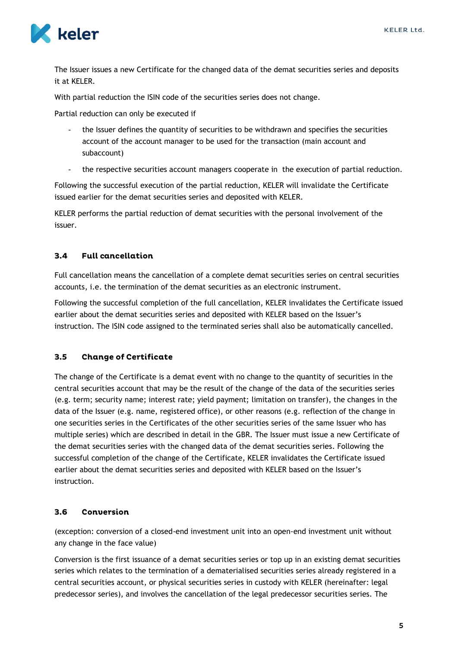

The Issuer issues a new Certificate for the changed data of the demat securities series and deposits it at KELER.

With partial reduction the ISIN code of the securities series does not change.

Partial reduction can only be executed if

- the Issuer defines the quantity of securities to be withdrawn and specifies the securities account of the account manager to be used for the transaction (main account and subaccount)
- the respective securities account managers cooperate in the execution of partial reduction.

Following the successful execution of the partial reduction, KELER will invalidate the Certificate issued earlier for the demat securities series and deposited with KELER.

KELER performs the partial reduction of demat securities with the personal involvement of the issuer.

#### <span id="page-5-0"></span>**Full cancellation**  $3.4$

Full cancellation means the cancellation of a complete demat securities series on central securities accounts, i.e. the termination of the demat securities as an electronic instrument.

Following the successful completion of the full cancellation, KELER invalidates the Certificate issued earlier about the demat securities series and deposited with KELER based on the Issuer's instruction. The ISIN code assigned to the terminated series shall also be automatically cancelled.

#### <span id="page-5-1"></span> $3.5$ **Change of Certificate**

The change of the Certificate is a demat event with no change to the quantity of securities in the central securities account that may be the result of the change of the data of the securities series (e.g. term; security name; interest rate; yield payment; limitation on transfer), the changes in the data of the Issuer (e.g. name, registered office), or other reasons (e.g. reflection of the change in one securities series in the Certificates of the other securities series of the same Issuer who has multiple series) which are described in detail in the GBR. The Issuer must issue a new Certificate of the demat securities series with the changed data of the demat securities series. Following the successful completion of the change of the Certificate, KELER invalidates the Certificate issued earlier about the demat securities series and deposited with KELER based on the Issuer's instruction.

#### <span id="page-5-2"></span> $3.6$ Conversion

(exception: conversion of a closed-end investment unit into an open-end investment unit without any change in the face value)

Conversion is the first issuance of a demat securities series or top up in an existing demat securities series which relates to the termination of a dematerialised securities series already registered in a central securities account, or physical securities series in custody with KELER (hereinafter: legal predecessor series), and involves the cancellation of the legal predecessor securities series. The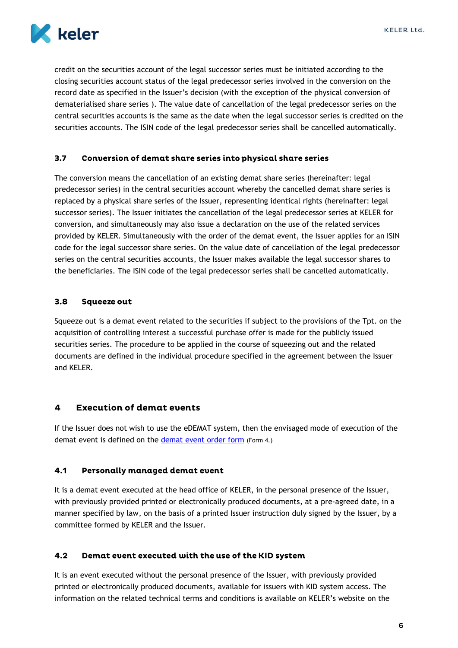

credit on the securities account of the legal successor series must be initiated according to the closing securities account status of the legal predecessor series involved in the conversion on the record date as specified in the Issuer's decision (with the exception of the physical conversion of dematerialised share series ). The value date of cancellation of the legal predecessor series on the central securities accounts is the same as the date when the legal successor series is credited on the securities accounts. The ISIN code of the legal predecessor series shall be cancelled automatically.

#### <span id="page-6-0"></span> $3.7$ Conversion of demat share series into physical share series

The conversion means the cancellation of an existing demat share series (hereinafter: legal predecessor series) in the central securities account whereby the cancelled demat share series is replaced by a physical share series of the Issuer, representing identical rights (hereinafter: legal successor series). The Issuer initiates the cancellation of the legal predecessor series at KELER for conversion, and simultaneously may also issue a declaration on the use of the related services provided by KELER. Simultaneously with the order of the demat event, the Issuer applies for an ISIN code for the legal successor share series. On the value date of cancellation of the legal predecessor series on the central securities accounts, the Issuer makes available the legal successor shares to the beneficiaries. The ISIN code of the legal predecessor series shall be cancelled automatically.

#### <span id="page-6-1"></span> $3.8$ **Squeeze out**

Squeeze out is a demat event related to the securities if subject to the provisions of the Tpt. on the acquisition of controlling interest a successful purchase offer is made for the publicly issued securities series. The procedure to be applied in the course of squeezing out and the related documents are defined in the individual procedure specified in the agreement between the Issuer and KELER.

#### <span id="page-6-2"></span>**Execution of demat events**  $\overline{\mathbf{A}}$

If the Issuer does not wish to use the eDEMAT system, then the envisaged mode of execution of the demat event is defined on the [demat event order](hhttps://english.keler.hu/Key%20documents/Business%20Forms/) form (Form 4.)

#### <span id="page-6-3"></span> $4.1$ **Personally managed demat event**

It is a demat event executed at the head office of KELER, in the personal presence of the Issuer, with previously provided printed or electronically produced documents, at a pre-agreed date, in a manner specified by law, on the basis of a printed Issuer instruction duly signed by the Issuer, by a committee formed by KELER and the Issuer.

#### <span id="page-6-4"></span> $4.2$ Demat event executed with the use of the KID system

It is an event executed without the personal presence of the Issuer, with previously provided printed or electronically produced documents, available for issuers with KID system access. The information on the related technical terms and conditions is available on KELER's website on the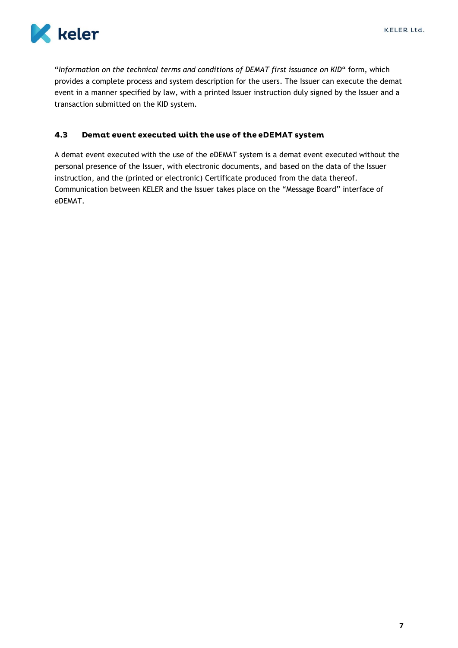"*Information on the technical terms and conditions of DEMAT first issuance on KID*" form, which provides a complete process and system description for the users. The Issuer can execute the demat event in a manner specified by law, with a printed Issuer instruction duly signed by the Issuer and a transaction submitted on the KID system.

#### <span id="page-7-0"></span> $4.3$ Demat event executed with the use of the eDEMAT system

A demat event executed with the use of the eDEMAT system is a demat event executed without the personal presence of the Issuer, with electronic documents, and based on the data of the Issuer instruction, and the (printed or electronic) Certificate produced from the data thereof. Communication between KELER and the Issuer takes place on the "Message Board" interface of eDEMAT.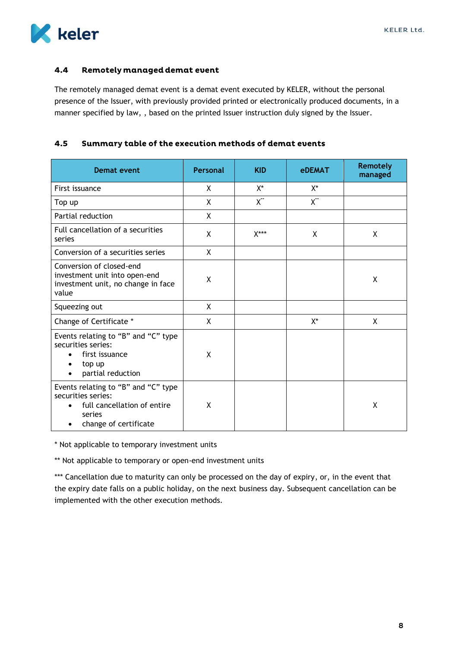

#### <span id="page-8-0"></span>Remotely managed demat event  $4.4$

The remotely managed demat event is a demat event executed by KELER, without the personal presence of the Issuer, with previously provided printed or electronically produced documents, in a manner specified by law, , based on the printed Issuer instruction duly signed by the Issuer.

#### <span id="page-8-1"></span> $4.5$ Summary table of the execution methods of demat events

| Demat event                                                                                                                 | <b>Personal</b> | <b>KID</b>     | <b>eDEMAT</b>  | <b>Remotely</b><br>managed |
|-----------------------------------------------------------------------------------------------------------------------------|-----------------|----------------|----------------|----------------------------|
| First issuance                                                                                                              | X               | X*             | X*             |                            |
| Top up                                                                                                                      | X               | $X^{\ast\ast}$ | $X^{\ast\ast}$ |                            |
| Partial reduction                                                                                                           | X               |                |                |                            |
| Full cancellation of a securities<br>series                                                                                 | X               | $X***$         | X              | X                          |
| Conversion of a securities series                                                                                           | X               |                |                |                            |
| Conversion of closed-end<br>investment unit into open-end<br>investment unit, no change in face<br>value                    | X               |                |                | χ                          |
| Squeezing out                                                                                                               | X               |                |                |                            |
| Change of Certificate *                                                                                                     | X               |                | X*             | X                          |
| Events relating to "B" and "C" type<br>securities series:<br>first issuance<br>top up<br>partial reduction                  | X               |                |                |                            |
| Events relating to "B" and "C" type<br>securities series:<br>full cancellation of entire<br>series<br>change of certificate | X               |                |                | X                          |

\* Not applicable to temporary investment units

\*\* Not applicable to temporary or open-end investment units

\*\*\* Cancellation due to maturity can only be processed on the day of expiry, or, in the event that the expiry date falls on a public holiday, on the next business day. Subsequent cancellation can be implemented with the other execution methods.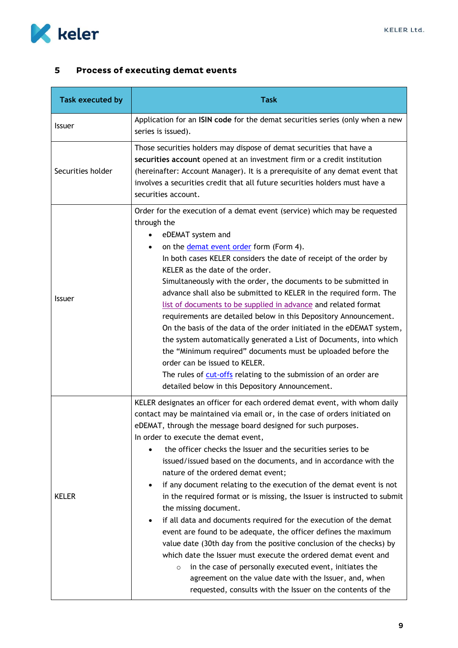

#### <span id="page-9-0"></span>**Process of executing demat events**  $5\overline{)}$

| Task executed by  | <b>Task</b>                                                                                                                                                                                                                                                                                                                                                                                                                                                                                                                                                                                                                                                                                                                                                                                                                                                                                                                                                                                                                                                                                                         |
|-------------------|---------------------------------------------------------------------------------------------------------------------------------------------------------------------------------------------------------------------------------------------------------------------------------------------------------------------------------------------------------------------------------------------------------------------------------------------------------------------------------------------------------------------------------------------------------------------------------------------------------------------------------------------------------------------------------------------------------------------------------------------------------------------------------------------------------------------------------------------------------------------------------------------------------------------------------------------------------------------------------------------------------------------------------------------------------------------------------------------------------------------|
| Issuer            | Application for an ISIN code for the demat securities series (only when a new<br>series is issued).                                                                                                                                                                                                                                                                                                                                                                                                                                                                                                                                                                                                                                                                                                                                                                                                                                                                                                                                                                                                                 |
| Securities holder | Those securities holders may dispose of demat securities that have a<br>securities account opened at an investment firm or a credit institution<br>(hereinafter: Account Manager). It is a prerequisite of any demat event that<br>involves a securities credit that all future securities holders must have a<br>securities account.                                                                                                                                                                                                                                                                                                                                                                                                                                                                                                                                                                                                                                                                                                                                                                               |
| <b>Issuer</b>     | Order for the execution of a demat event (service) which may be requested<br>through the<br>eDEMAT system and<br>on the <i>demat</i> event order form (Form 4).<br>In both cases KELER considers the date of receipt of the order by<br>KELER as the date of the order.<br>Simultaneously with the order, the documents to be submitted in<br>advance shall also be submitted to KELER in the required form. The<br>list of documents to be supplied in advance and related format<br>requirements are detailed below in this Depository Announcement.<br>On the basis of the data of the order initiated in the eDEMAT system,<br>the system automatically generated a List of Documents, into which<br>the "Minimum required" documents must be uploaded before the<br>order can be issued to KELER.<br>The rules of cut-offs relating to the submission of an order are<br>detailed below in this Depository Announcement.                                                                                                                                                                                       |
| <b>KELER</b>      | KELER designates an officer for each ordered demat event, with whom daily<br>contact may be maintained via email or, in the case of orders initiated on<br>eDEMAT, through the message board designed for such purposes.<br>In order to execute the demat event,<br>the officer checks the Issuer and the securities series to be<br>issued/issued based on the documents, and in accordance with the<br>nature of the ordered demat event;<br>if any document relating to the execution of the demat event is not<br>$\bullet$<br>in the required format or is missing, the Issuer is instructed to submit<br>the missing document.<br>if all data and documents required for the execution of the demat<br>event are found to be adequate, the officer defines the maximum<br>value date (30th day from the positive conclusion of the checks) by<br>which date the Issuer must execute the ordered demat event and<br>in the case of personally executed event, initiates the<br>$\circ$<br>agreement on the value date with the Issuer, and, when<br>requested, consults with the Issuer on the contents of the |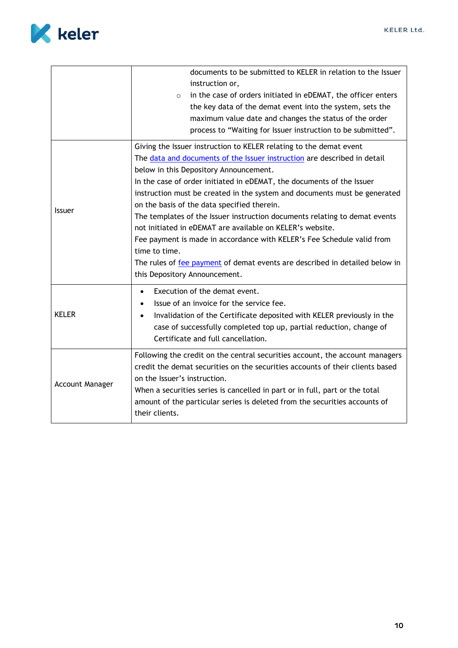

<span id="page-10-0"></span>

|                 | documents to be submitted to KELER in relation to the Issuer<br>instruction or,<br>in the case of orders initiated in eDEMAT, the officer enters<br>$\circ$<br>the key data of the demat event into the system, sets the<br>maximum value date and changes the status of the order<br>process to "Waiting for Issuer instruction to be submitted".                                                                                                                                                                                                                                                                                                                                                                                                  |
|-----------------|-----------------------------------------------------------------------------------------------------------------------------------------------------------------------------------------------------------------------------------------------------------------------------------------------------------------------------------------------------------------------------------------------------------------------------------------------------------------------------------------------------------------------------------------------------------------------------------------------------------------------------------------------------------------------------------------------------------------------------------------------------|
| <b>Issuer</b>   | Giving the Issuer instruction to KELER relating to the demat event<br>The data and documents of the Issuer instruction are described in detail<br>below in this Depository Announcement.<br>In the case of order initiated in eDEMAT, the documents of the Issuer<br>instruction must be created in the system and documents must be generated<br>on the basis of the data specified therein.<br>The templates of the Issuer instruction documents relating to demat events<br>not initiated in eDEMAT are available on KELER's website.<br>Fee payment is made in accordance with KELER's Fee Schedule valid from<br>time to time.<br>The rules of fee payment of demat events are described in detailed below in<br>this Depository Announcement. |
| <b>KELER</b>    | Execution of the demat event.<br>$\bullet$<br>Issue of an invoice for the service fee.<br>$\bullet$<br>Invalidation of the Certificate deposited with KELER previously in the<br>$\bullet$<br>case of successfully completed top up, partial reduction, change of<br>Certificate and full cancellation.                                                                                                                                                                                                                                                                                                                                                                                                                                             |
| Account Manager | Following the credit on the central securities account, the account managers<br>credit the demat securities on the securities accounts of their clients based<br>on the Issuer's instruction.<br>When a securities series is cancelled in part or in full, part or the total<br>amount of the particular series is deleted from the securities accounts of<br>their clients.                                                                                                                                                                                                                                                                                                                                                                        |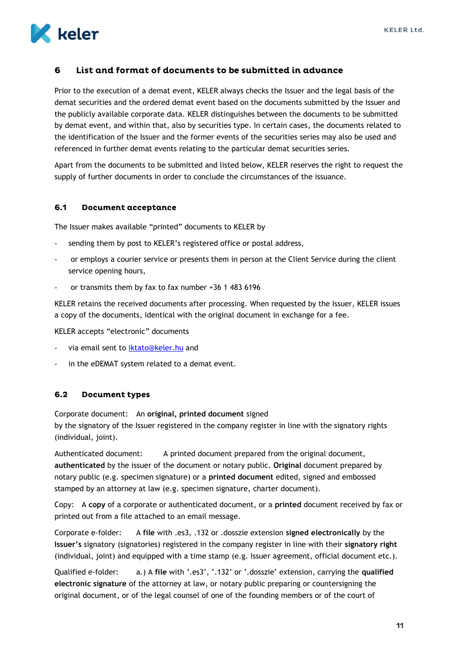

#### List and format of documents to be submitted in advance 6

Prior to the execution of a demat event, KELER always checks the Issuer and the legal basis of the demat securities and the ordered demat event based on the documents submitted by the Issuer and the publicly available corporate data. KELER distinguishes between the documents to be submitted by demat event, and within that, also by securities type. In certain cases, the documents related to the identification of the Issuer and the former events of the securities series may also be used and referenced in further demat events relating to the particular demat securities series.

Apart from the documents to be submitted and listed below, KELER reserves the right to request the supply of further documents in order to conclude the circumstances of the issuance.

#### <span id="page-11-0"></span> $6.1$ **Document acceptance**

The Issuer makes available "printed" documents to KELER by

- sending them by post to KELER's registered office or postal address,
- or employs a courier service or presents them in person at the Client Service during the client service opening hours,
- or transmits them by fax to fax number +36 1 483 6196

KELER retains the received documents after processing. When requested by the Issuer, KELER issues a copy of the documents, identical with the original document in exchange for a fee.

KELER accepts "electronic" documents

- via email sent to [iktato@keler.hu](file:///C:/Users/tarjanyid/AppData/Local/Microsoft/Windows/Temporary%20Internet%20Files/Content.Outlook/DLB633QI/in%20the%20eDEMAT%20system%20in%20relation%20to%20demat%20events) and
- in the eDEMAT system related to a demat event.

#### <span id="page-11-1"></span> $6.2$ **Document types**

Corporate document: An **original, printed document** signed

by the signatory of the Issuer registered in the company register in line with the signatory rights (individual, joint).

Authenticated document: A printed document prepared from the original document, **authenticated** by the issuer of the document or notary public. **Original** document prepared by notary public (e.g. specimen signature) or a **printed document** edited, signed and embossed stamped by an attorney at law (e.g. specimen signature, charter document).

Copy: A **copy** of a corporate or authenticated document, or a **printed** document received by fax or printed out from a file attached to an email message.

Corporate e-folder: A **file** with .es3, .132 or .dosszie extension **signed electronically** by the **Issuer's** signatory (signatories) registered in the company register in line with their **signatory right** (individual, joint) and equipped with a time stamp (e.g. Issuer agreement, official document etc.).

Qualified e-folder: a.) A **file** with '.es3', '.132' or '.dosszie' extension, carrying the **qualified electronic signature** of the attorney at law, or notary public preparing or countersigning the original document, or of the legal counsel of one of the founding members or of the court of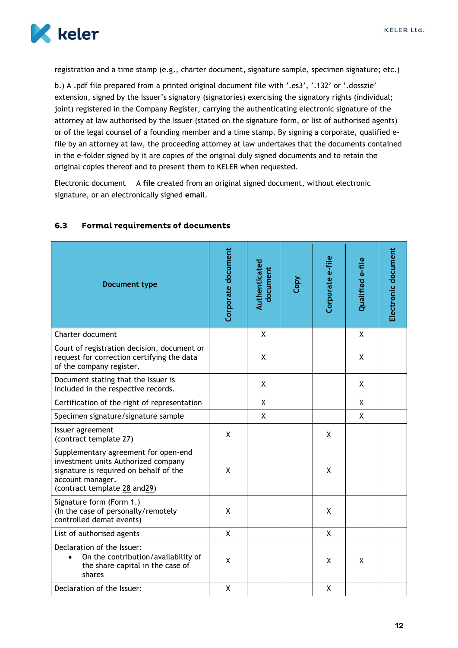

registration and a time stamp (e.g., charter document, signature sample, specimen signature; etc.)

b.) A .pdf file prepared from a printed original document file with '.es3', '.132' or '.dosszie' extension, signed by the Issuer's signatory (signatories) exercising the signatory rights (individual; joint) registered in the Company Register, carrying the authenticating electronic signature of the attorney at law authorised by the Issuer (stated on the signature form, or list of authorised agents) or of the legal counsel of a founding member and a time stamp. By signing a corporate, qualified efile by an attorney at law, the proceeding attorney at law undertakes that the documents contained in the e-folder signed by it are copies of the original duly signed documents and to retain the original copies thereof and to present them to KELER when requested.

Electronic document A **file** created from an original signed document, without electronic signature, or an electronically signed **email**.

| <b>Document type</b>                                                                                                                                                      | Corporate document | Authenticated<br>document | Copy | Corporate e-file | Qualified e-file | Electronic document |
|---------------------------------------------------------------------------------------------------------------------------------------------------------------------------|--------------------|---------------------------|------|------------------|------------------|---------------------|
| Charter document                                                                                                                                                          |                    | Χ                         |      |                  | X                |                     |
| Court of registration decision, document or<br>request for correction certifying the data<br>of the company register.                                                     |                    | X                         |      |                  | X                |                     |
| Document stating that the Issuer is<br>included in the respective records.                                                                                                |                    | X                         |      |                  | X                |                     |
| Certification of the right of representation                                                                                                                              |                    | X                         |      |                  | X                |                     |
| Specimen signature/signature sample                                                                                                                                       |                    | χ                         |      |                  | X                |                     |
| Issuer agreement<br>(contract template 27)                                                                                                                                | X                  |                           |      | X                |                  |                     |
| Supplementary agreement for open-end<br>investment units Authorized company<br>signature is required on behalf of the<br>account manager.<br>(contract template 28 and29) | X                  |                           |      | X                |                  |                     |
| Signature form (Form 1.)<br>(In the case of personally/remotely<br>controlled demat events)                                                                               | X                  |                           |      | X                |                  |                     |
| List of authorised agents                                                                                                                                                 | $\sf X$            |                           |      | X                |                  |                     |
| Declaration of the Issuer:<br>On the contribution/availability of<br>the share capital in the case of<br>shares                                                           | X                  |                           |      | X                | X                |                     |
| Declaration of the Issuer:                                                                                                                                                | X                  |                           |      | X                |                  |                     |

#### <span id="page-12-0"></span> $6.3$ **Formal requirements of documents**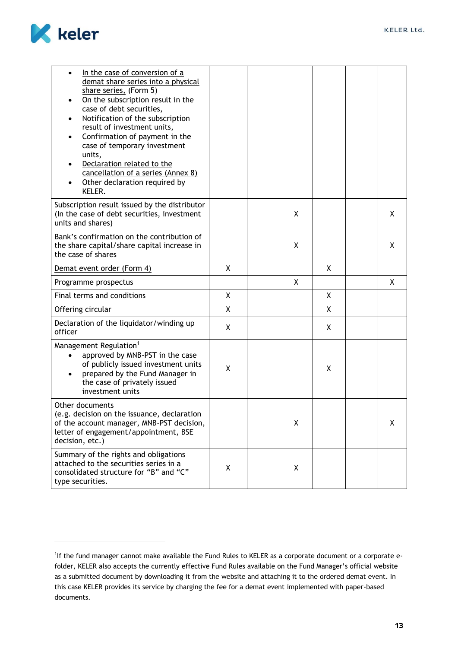

| In the case of conversion of a<br>$\bullet$<br>demat share series into a physical<br>share series, (Form 5)<br>On the subscription result in the<br>$\bullet$<br>case of debt securities,<br>Notification of the subscription<br>$\bullet$<br>result of investment units,<br>Confirmation of payment in the<br>$\bullet$<br>case of temporary investment<br>units,<br>Declaration related to the<br>cancellation of a series (Annex 8)<br>Other declaration required by<br>KELER. |              |   |   |   |
|-----------------------------------------------------------------------------------------------------------------------------------------------------------------------------------------------------------------------------------------------------------------------------------------------------------------------------------------------------------------------------------------------------------------------------------------------------------------------------------|--------------|---|---|---|
| Subscription result issued by the distributor<br>(In the case of debt securities, investment<br>units and shares)                                                                                                                                                                                                                                                                                                                                                                 |              | Χ |   | Χ |
| Bank's confirmation on the contribution of<br>the share capital/share capital increase in<br>the case of shares                                                                                                                                                                                                                                                                                                                                                                   |              | X |   | X |
| Demat event order (Form 4)                                                                                                                                                                                                                                                                                                                                                                                                                                                        | X            |   | X |   |
| Programme prospectus                                                                                                                                                                                                                                                                                                                                                                                                                                                              |              | X |   | X |
| Final terms and conditions                                                                                                                                                                                                                                                                                                                                                                                                                                                        | $\mathsf{X}$ |   | X |   |
| Offering circular                                                                                                                                                                                                                                                                                                                                                                                                                                                                 | $\mathsf{X}$ |   | X |   |
| Declaration of the liquidator/winding up<br>officer                                                                                                                                                                                                                                                                                                                                                                                                                               | X            |   | X |   |
| Management Regulation <sup>1</sup><br>approved by MNB-PST in the case<br>of publicly issued investment units<br>prepared by the Fund Manager in<br>$\bullet$<br>the case of privately issued<br>investment units                                                                                                                                                                                                                                                                  | X            |   | Χ |   |
| Other documents<br>(e.g. decision on the issuance, declaration<br>of the account manager, MNB-PST decision,<br>letter of engagement/appointment, BSE<br>decision, etc.)                                                                                                                                                                                                                                                                                                           |              | Χ |   | Χ |
| Summary of the rights and obligations<br>attached to the securities series in a<br>consolidated structure for "B" and "C"<br>type securities.                                                                                                                                                                                                                                                                                                                                     | X            | X |   |   |

<span id="page-13-0"></span><sup>&</sup>lt;sup>1</sup>If the fund manager cannot make available the Fund Rules to KELER as a corporate document or a corporate efolder, KELER also accepts the currently effective Fund Rules available on the Fund Manager's official website as a submitted document by downloading it from the website and attaching it to the ordered demat event. In this case KELER provides its service by charging the fee for a demat event implemented with paper-based documents.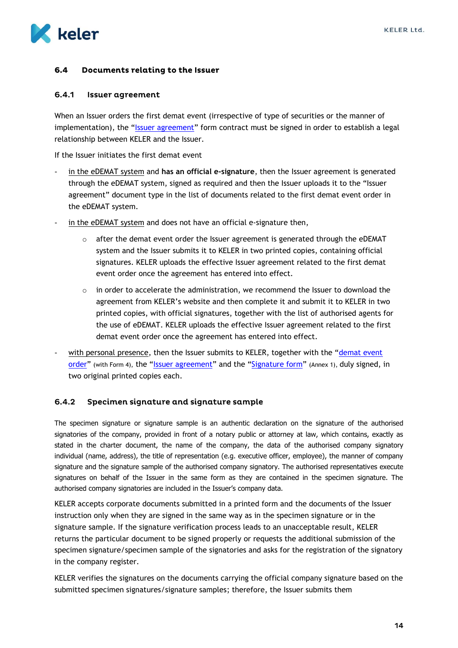

#### Documents relating to the Issuer  $6.4$

#### <span id="page-14-0"></span> $6.4.1$ **Issuer agreement**

When an Issuer orders the first demat event (irrespective of type of securities or the manner of implementation), the "[Issuer agreement](hhttps://english.keler.hu/Key%20documents/Business%20Forms/)" form contract must be signed in order to establish a legal relationship between KELER and the Issuer.

If the Issuer initiates the first demat event

- in the eDEMAT system and **has an official e-signature**, then the Issuer agreement is generated through the eDEMAT system, signed as required and then the Issuer uploads it to the "Issuer agreement" document type in the list of documents related to the first demat event order in the eDEMAT system.
- in the eDEMAT system and does not have an official e-signature then,
	- after the demat event order the Issuer agreement is generated through the eDEMAT system and the Issuer submits it to KELER in two printed copies, containing official signatures. KELER uploads the effective Issuer agreement related to the first demat event order once the agreement has entered into effect.
	- $\circ$  in order to accelerate the administration, we recommend the Issuer to download the agreement from KELER's website and then complete it and submit it to KELER in two printed copies, with official signatures, together with the list of authorised agents for the use of eDEMAT. KELER uploads the effective Issuer agreement related to the first demat event order once the agreement has entered into effect.
- with personal presence, then the Issuer submits to KELER, together with the "demat event [order](hhttps://english.keler.hu/Key%20documents/Business%20Forms/)" (with Form 4), the "[Issuer agreement](hhttps://english.keler.hu/Key%20documents/Business%20Forms/)" and the "[Signature form](https://english.keler.hu/Key%20documents/Business%20Forms/)" (Annex 1), duly signed, in two original printed copies each.

#### <span id="page-14-1"></span> $6.4.2$ Specimen signature and signature sample

The specimen signature or signature sample is an authentic declaration on the signature of the authorised signatories of the company, provided in front of a notary public or attorney at law, which contains, exactly as stated in the charter document, the name of the company, the data of the authorised company signatory individual (name, address), the title of representation (e.g. executive officer, employee), the manner of company signature and the signature sample of the authorised company signatory. The authorised representatives execute signatures on behalf of the Issuer in the same form as they are contained in the specimen signature. The authorised company signatories are included in the Issuer's company data.

KELER accepts corporate documents submitted in a printed form and the documents of the Issuer instruction only when they are signed in the same way as in the specimen signature or in the signature sample. If the signature verification process leads to an unacceptable result, KELER returns the particular document to be signed properly or requests the additional submission of the specimen signature/specimen sample of the signatories and asks for the registration of the signatory in the company register.

KELER verifies the signatures on the documents carrying the official company signature based on the submitted specimen signatures/signature samples; therefore, the Issuer submits them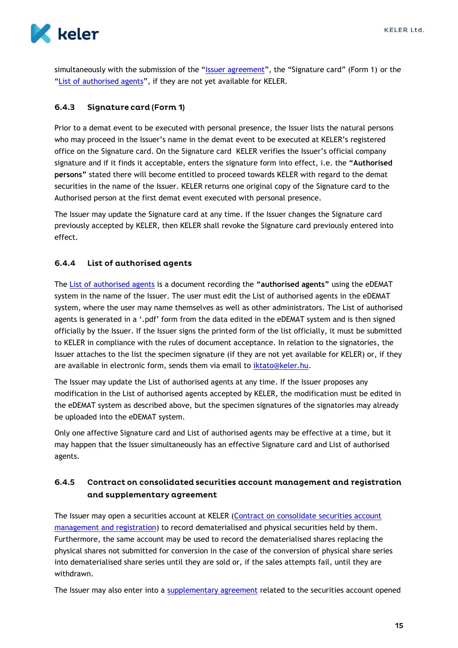

simultaneously with the submission of the "[Issuer agreement](hhttps://english.keler.hu/Key%20documents/Business%20Forms/)", the "Signature card" (Form 1) or the "[List of authorised agents](#page-15-1)", if they are not yet available for KELER.

#### <span id="page-15-0"></span> $6.4.3$ **Signature card (Form 1)**

Prior to a demat event to be executed with personal presence, the Issuer lists the natural persons who may proceed in the Issuer's name in the demat event to be executed at KELER's registered office on the Signature card. On the [Signature](http://www.keler.hu/keler/keler_files/File/Formanyomtatv%E1nyok/Demat_ertekpapirok/2012/al%E1%EDr%E1s_bejelent%F5_lap_20110101.pdf) card KELER verifies the Issuer's official company signature and if it finds it acceptable, enters the [signature form](http://www.keler.hu/keler/keler_files/File/Formanyomtatv%E1nyok/Demat_ertekpapirok/2012/al%E1%EDr%E1s_bejelent%F5_lap_20110101.pdf) into effect, i.e. the **"Authorised persons"** stated there will become entitled to proceed towards KELER with regard to the demat securities in the name of the Issuer. KELER returns one original copy of the [Signature card](http://www.keler.hu/keler/keler_files/File/Formanyomtatv%E1nyok/Demat_ertekpapirok/2012/al%E1%EDr%E1s_bejelent%F5_lap_20110101.pdf) to the Authorised person at the first demat event executed with personal presence.

The Issuer may update the [Signature card](http://www.keler.hu/keler/keler_files/File/Formanyomtatv%E1nyok/Demat_ertekpapirok/2012/al%E1%EDr%E1s_bejelent%F5_lap_20110101.pdf) at any time. If the Issuer changes the Signature card previously accepted by KELER, then KELER shall revoke the [Signature card](http://www.keler.hu/keler/keler_files/File/Formanyomtatv%E1nyok/Demat_ertekpapirok/2012/al%E1%EDr%E1s_bejelent%F5_lap_20110101.pdf) previously entered into effect.

#### <span id="page-15-1"></span>6.4.4 List of authorised agents

The [List of authorised agents](#page-15-1) is a document recording the **"authorised agents"** using the eDEMAT system in the name of the Issuer. The user must edit the List of authorised agents in the eDEMAT system, where the user may name themselves as well as other administrators. The List of authorised agents is generated in a '.pdf' form from the data edited in the eDEMAT system and is then signed officially by the Issuer. If the Issuer signs the printed form of the list officially, it must be submitted to KELER in compliance with the rules of document acceptance. In relation to the signatories, the Issuer attaches to the list the specimen signature (if they are not yet available for KELER) or, if they are available in electronic form, sends them via email to *iktato@keler.hu*.

The Issuer may update the List of authorised agents at any time. If the Issuer proposes any modification in the List of authorised agents accepted by KELER, the modification must be edited in the eDEMAT system as described above, but the specimen signatures of the signatories may already be uploaded into the eDEMAT system.

Only one affective Signature card and List of authorised agents may be effective at a time, but it may happen that the Issuer simultaneously has an effective Signature card and List of authorised agents.

### <span id="page-15-2"></span> $6.4.5$ Contract on consolidated securities account management and registration and supplementary agreement

The Issuer may open a securities account at KELER (Contract on consolidate securities account [management and registration\)](https://english.keler.hu/Key%20documents/Business%20Forms/) to record dematerialised and physical securities held by them. Furthermore, the same account may be used to record the dematerialised shares replacing the physical shares not submitted for conversion in the case of the conversion of physical share series into dematerialised share series until they are sold or, if the sales attempts fail, until they are withdrawn.

The Issuer may also enter into a [supplementary agreement](https://www.keler.hu/Dokumentumt%C3%A1r/Formaszerz%C5%91d%C3%A9sek/) related to the securities account opened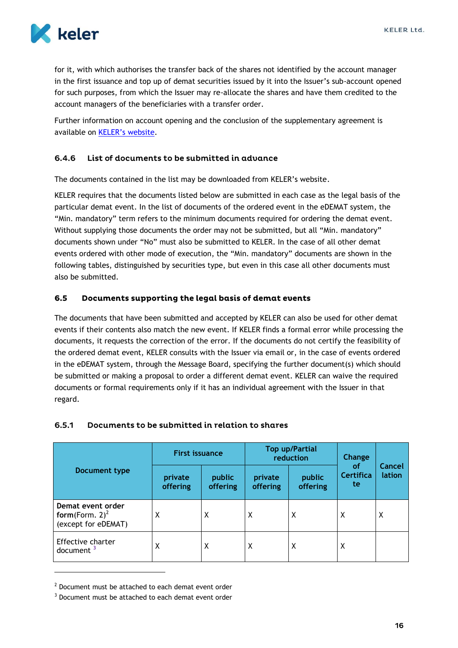

for it, with which authorises the transfer back of the shares not identified by the account manager in the first issuance and top up of demat securities issued by it into the Issuer's sub-account opened for such purposes, from which the Issuer may re-allocate the shares and have them credited to the account managers of the beneficiaries with a transfer order.

Further information on account opening and the conclusion of the supplementary agreement is available on [KELER's website](https://english.keler.hu/Services/Issuance/Issuance%20of%20Securities/Consultation/).

#### <span id="page-16-0"></span>List of documents to be submitted in advance 6.4.6

The documents contained in the list may be downloaded from KELER's website.

KELER requires that the documents listed below are submitted in each case as the legal basis of the particular demat event. In the list of documents of the ordered event in the eDEMAT system, the "Min. mandatory" term refers to the minimum documents required for ordering the demat event. Without supplying those documents the order may not be submitted, but all "Min. mandatory" documents shown under "No" must also be submitted to KELER. In the case of all other demat events ordered with other mode of execution, the "Min. mandatory" documents are shown in the following tables, distinguished by securities type, but even in this case all other documents must also be submitted.

#### <span id="page-16-1"></span> $6.5$ Documents supporting the legal basis of demat events

The documents that have been submitted and accepted by KELER can also be used for other demat events if their contents also match the new event. If KELER finds a formal error while processing the documents, it requests the correction of the error. If the documents do not certify the feasibility of the ordered demat event, KELER consults with the Issuer via email or, in the case of events ordered in the eDEMAT system, through the Message Board, specifying the further document(s) which should be submitted or making a proposal to order a different demat event. KELER can waive the required documents or formal requirements only if it has an individual agreement with the Issuer in that regard.

#### <span id="page-16-2"></span>Documents to be submitted in relation to shares  $6.5.1$

|                                                               | <b>First issuance</b> |                    |                     | <b>Top up/Partial</b><br>reduction | Change<br><b>of</b> | Cancel<br>lation |
|---------------------------------------------------------------|-----------------------|--------------------|---------------------|------------------------------------|---------------------|------------------|
| Document type                                                 | private<br>offering   | public<br>offering | private<br>offering | public<br>offering                 |                     |                  |
| Demat event order<br>form(Form. $2)^2$<br>(except for eDEMAT) | Χ                     | X                  | X                   | X                                  | X                   | X                |
| Effective charter<br>document $3$                             | Χ                     | Χ                  | X                   | X                                  | X                   |                  |

 $2$  Document must be attached to each demat event order

 $3$  Document must be attached to each demat event order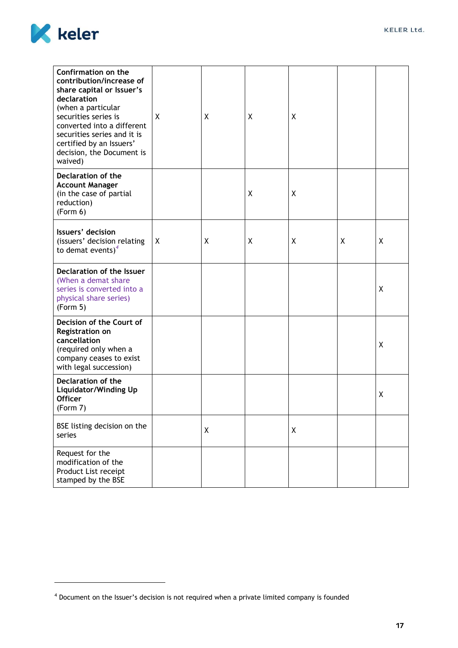

| Confirmation on the<br>contribution/increase of<br>share capital or Issuer's<br>declaration<br>(when a particular<br>securities series is<br>converted into a different<br>securities series and it is<br>certified by an Issuers'<br>decision, the Document is<br>waived) | X | Χ | X | X            |   |   |
|----------------------------------------------------------------------------------------------------------------------------------------------------------------------------------------------------------------------------------------------------------------------------|---|---|---|--------------|---|---|
| Declaration of the<br><b>Account Manager</b><br>(in the case of partial<br>reduction)<br>(Form 6)                                                                                                                                                                          |   |   | X | Χ            |   |   |
| Issuers' decision<br>(issuers' decision relating<br>to demat events) $4$                                                                                                                                                                                                   | Χ | X | X | χ            | X | X |
| Declaration of the Issuer<br>(When a demat share<br>series is converted into a<br>physical share series)<br>(Form 5)                                                                                                                                                       |   |   |   |              |   | Χ |
| Decision of the Court of<br>Registration on<br>cancellation<br>(required only when a<br>company ceases to exist<br>with legal succession)                                                                                                                                  |   |   |   |              |   | Χ |
| Declaration of the<br><b>Liquidator/Winding Up</b><br><b>Officer</b><br>(Form 7)                                                                                                                                                                                           |   |   |   |              |   | χ |
| BSE listing decision on the<br>series                                                                                                                                                                                                                                      |   | X |   | $\pmb{\chi}$ |   |   |
| Request for the<br>modification of the<br>Product List receipt<br>stamped by the BSE                                                                                                                                                                                       |   |   |   |              |   |   |

<span id="page-17-0"></span><sup>&</sup>lt;sup>4</sup> Document on the Issuer's decision is not required when a private limited company is founded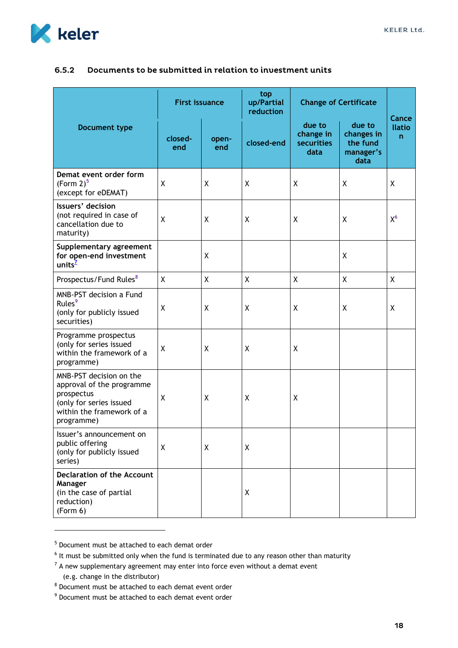

## 6.5.2 Documents to be submitted in relation to investment units

|                                                                                                                                          | <b>First issuance</b> |              | top<br>up/Partial<br>reduction | <b>Change of Certificate</b>              |                                                       | Cance              |
|------------------------------------------------------------------------------------------------------------------------------------------|-----------------------|--------------|--------------------------------|-------------------------------------------|-------------------------------------------------------|--------------------|
| <b>Document type</b>                                                                                                                     | closed-<br>end        | open-<br>end | closed-end                     | due to<br>change in<br>securities<br>data | due to<br>changes in<br>the fund<br>manager's<br>data | <b>Ilatio</b><br>n |
| Demat event order form<br>(Form 2) <sup>5</sup><br>(except for eDEMAT)                                                                   | Χ                     | Χ            | X                              | X                                         | X                                                     | Χ                  |
| Issuers' decision<br>(not required in case of<br>cancellation due to<br>maturity)                                                        | X                     | X            | $\boldsymbol{\mathsf{X}}$      | X                                         | X                                                     | $X^6$              |
| Supplementary agreement<br>for open-end investment<br>units <sup><math>2</math></sup>                                                    |                       | X            |                                |                                           | X                                                     |                    |
| Prospectus/Fund Rules <sup>8</sup>                                                                                                       | X                     | X            | $\mathsf{X}$                   | χ                                         | X                                                     | X                  |
| MNB-PST decision a Fund<br>Rules <sup>9</sup><br>(only for publicly issued<br>securities)                                                | X                     | χ            | $\sf X$                        | $\sf X$                                   | χ                                                     | X                  |
| Programme prospectus<br>(only for series issued<br>within the framework of a<br>programme)                                               | X                     | Χ            | X                              | X                                         |                                                       |                    |
| MNB-PST decision on the<br>approval of the programme<br>prospectus<br>(only for series issued<br>within the framework of a<br>programme) | X                     | X            | $\sf X$                        | χ                                         |                                                       |                    |
| Issuer's announcement on<br>public offering<br>(only for publicly issued<br>series)                                                      | X                     | Χ            | X                              |                                           |                                                       |                    |
| <b>Declaration of the Account</b><br>Manager<br>(in the case of partial<br>reduction)<br>(Form 6)                                        |                       |              | X                              |                                           |                                                       |                    |

<sup>5</sup> Document must be attached to each demat order

(e.g. change in the distributor)

<sup>&</sup>lt;sup>6</sup> It must be submitted only when the fund is terminated due to any reason other than maturity

 $<sup>7</sup>$  A new supplementary agreement may enter into force even without a demat event</sup>

<sup>8</sup> Document must be attached to each demat event order

<sup>9</sup> Document must be attached to each demat event order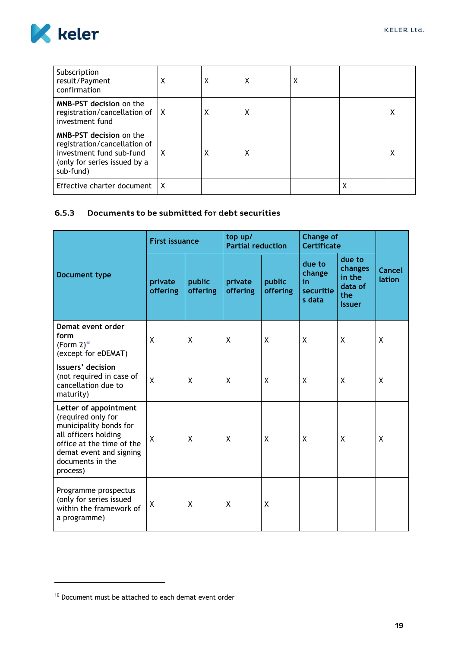

| Subscription<br>result/Payment<br>confirmation                                                                                   | Χ | х | Х | Х |   |   |
|----------------------------------------------------------------------------------------------------------------------------------|---|---|---|---|---|---|
| <b>MNB-PST decision on the</b><br>registration/cancellation of $\vert X \vert$<br>investment fund                                |   | χ | Х |   |   | х |
| MNB-PST decision on the<br>registration/cancellation of<br>investment fund sub-fund<br>(only for series issued by a<br>sub-fund) | X | χ | X |   |   | χ |
| Effective charter document                                                                                                       | X |   |   |   | χ |   |

## <span id="page-19-0"></span>6.5.3 Documents to be submitted for debt securities

|                                                                                                                                                                                       | <b>First issuance</b>      |                    | top up/<br><b>Partial reduction</b> |                    | <b>Change of</b><br><b>Certificate</b>        |                                                                |                  |
|---------------------------------------------------------------------------------------------------------------------------------------------------------------------------------------|----------------------------|--------------------|-------------------------------------|--------------------|-----------------------------------------------|----------------------------------------------------------------|------------------|
| Document type                                                                                                                                                                         | private<br><b>offering</b> | public<br>offering | private<br>offering                 | public<br>offering | due to<br>change<br>in<br>securitie<br>s data | due to<br>changes<br>in the<br>data of<br>the<br><b>Issuer</b> | Cancel<br>lation |
| Demat event order<br>form<br>(Form $2$ ) <sup>10</sup><br>(except for eDEMAT)                                                                                                         | X                          | X                  | X                                   | X                  | X                                             | X                                                              | X                |
| Issuers' decision<br>(not required in case of<br>cancellation due to<br>maturity)                                                                                                     | X                          | X                  | X                                   | X                  | X                                             | X                                                              | X                |
| Letter of appointment<br>(required only for<br>municipality bonds for<br>all officers holding<br>office at the time of the<br>demat event and signing<br>documents in the<br>process) | X                          | X                  | X                                   | X                  | X                                             | X                                                              | X                |
| Programme prospectus<br>(only for series issued<br>within the framework of<br>a programme)                                                                                            | χ                          | X                  | X                                   | X                  |                                               |                                                                |                  |

<sup>&</sup>lt;sup>10</sup> Document must be attached to each demat event order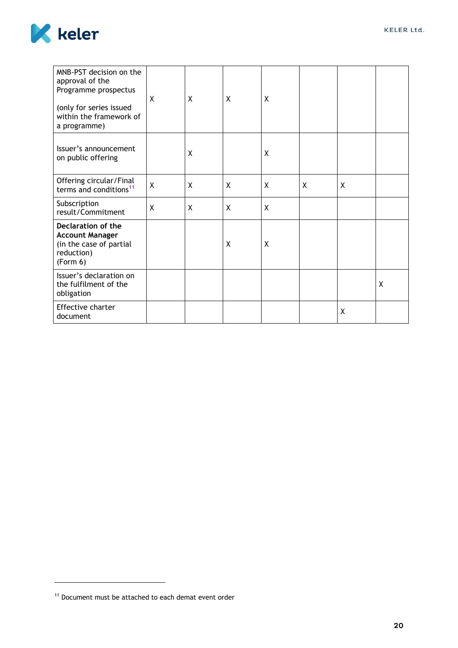

| MNB-PST decision on the<br>approval of the<br>Programme prospectus<br>(only for series issued<br>within the framework of<br>a programme) | X | X | X | Χ |   |   |   |
|------------------------------------------------------------------------------------------------------------------------------------------|---|---|---|---|---|---|---|
| Issuer's announcement<br>on public offering                                                                                              |   | X |   | X |   |   |   |
| Offering circular/Final<br>terms and conditions <sup>11</sup>                                                                            | X | X | X | X | X | X |   |
| Subscription<br>result/Commitment                                                                                                        | X | X | X | X |   |   |   |
| Declaration of the<br><b>Account Manager</b><br>(in the case of partial<br>reduction)<br>(Form 6)                                        |   |   | X | X |   |   |   |
| Issuer's declaration on<br>the fulfilment of the<br>obligation                                                                           |   |   |   |   |   |   | X |
| Effective charter<br>document                                                                                                            |   |   |   |   |   | X |   |

<sup>&</sup>lt;sup>11</sup> Document must be attached to each demat event order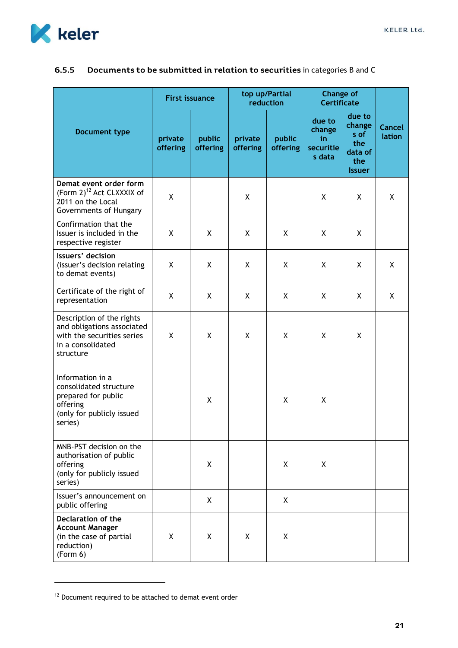

|                                                                                                                         | <b>First issuance</b> |                    | top up/Partial<br>reduction |                    | <b>Change of</b><br><b>Certificate</b>        |                                                                    |                  |
|-------------------------------------------------------------------------------------------------------------------------|-----------------------|--------------------|-----------------------------|--------------------|-----------------------------------------------|--------------------------------------------------------------------|------------------|
| Document type                                                                                                           | private<br>offering   | public<br>offering | private<br>offering         | public<br>offering | due to<br>change<br>in<br>securitie<br>s data | due to<br>change<br>s of<br>the<br>data of<br>the<br><b>Issuer</b> | Cancel<br>lation |
| Demat event order form<br>(Form 2) <sup>12</sup> Act CLXXXIX of<br>2011 on the Local<br>Governments of Hungary          | X                     |                    | X                           |                    | X                                             | X                                                                  | X                |
| Confirmation that the<br>Issuer is included in the<br>respective register                                               | X                     | X                  | X                           | X                  | X                                             | X                                                                  |                  |
| Issuers' decision<br>(issuer's decision relating<br>to demat events)                                                    | X                     | X                  | X                           | X                  | χ                                             | Χ                                                                  | X                |
| Certificate of the right of<br>representation                                                                           | X                     | X                  | X                           | X                  | X                                             | X                                                                  | Χ                |
| Description of the rights<br>and obligations associated<br>with the securities series<br>in a consolidated<br>structure | X                     | X                  | X                           | X                  | X                                             | Χ                                                                  |                  |
| Information in a<br>consolidated structure<br>prepared for public<br>offering<br>(only for publicly issued<br>series)   |                       | X                  |                             | X                  | χ                                             |                                                                    |                  |
| MNB-PST decision on the<br>authorisation of public<br>offering<br>(only for publicly issued<br>series)                  |                       | X                  |                             | X                  | X                                             |                                                                    |                  |
| Issuer's announcement on<br>public offering                                                                             |                       | X                  |                             | X                  |                                               |                                                                    |                  |
| Declaration of the<br><b>Account Manager</b><br>(in the case of partial<br>reduction)<br>(Form 6)                       | X                     | X                  | X                           | X                  |                                               |                                                                    |                  |

#### <span id="page-21-0"></span>Documents to be submitted in relation to securities in categories B and C  $6.5.5$

<span id="page-21-1"></span><sup>&</sup>lt;sup>12</sup> Document required to be attached to demat event order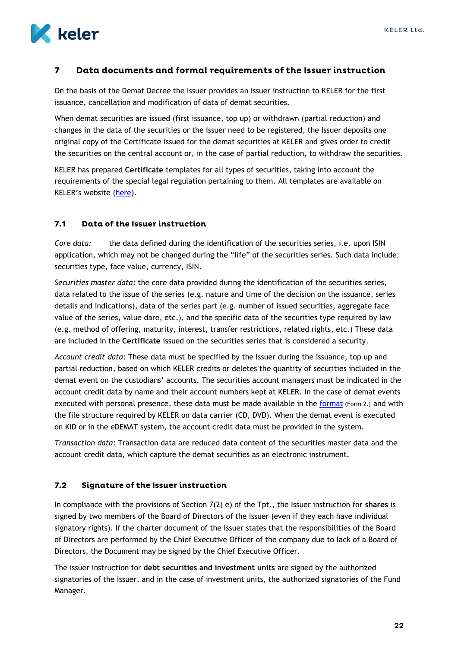

#### <span id="page-22-0"></span> $\overline{\mathbf{z}}$ Data documents and formal requirements of the Issuer instruction

On the basis of the Demat Decree the Issuer provides an Issuer instruction to KELER for the first issuance, cancellation and modification of data of demat securities.

When demat securities are issued (first issuance, top up) or withdrawn (partial reduction) and changes in the data of the securities or the Issuer need to be registered, the Issuer deposits one original copy of the Certificate issued for the demat securities at KELER and gives order to credit the securities on the central account or, in the case of partial reduction, to withdraw the securities.

KELER has prepared **Certificate** templates for all types of securities, taking into account the requirements of the special legal regulation pertaining to them. All templates are available on KELER's website ([here\)](https://www.keler.hu/Dokumentumt%C3%A1r/Formanyomtatv%C3%A1nyok/).

#### <span id="page-22-1"></span> $7.1$ Data of the Issuer instruction

*Core data:* the data defined during the identification of the securities series, i.e. upon ISIN application, which may not be changed during the "life" of the securities series. Such data include: securities type, face value, currency, ISIN.

*Securities master data:* the core data provided during the identification of the securities series, data related to the issue of the series (e.g. nature and time of the decision on the issuance, series details and indications), data of the series part (e.g. number of issued securities, aggregate face value of the series, value dare, etc.), and the specific data of the securities type required by law (e.g. method of offering, maturity, interest, transfer restrictions, related rights, etc.) These data are included in the **Certificate** issued on the securities series that is considered a security.

*Account credit data:* These data must be specified by the Issuer during the issuance, top up and partial reduction, based on which KELER credits or deletes the quantity of securities included in the demat event on the custodians' accounts. The securities account managers must be indicated in the account credit data by name and their account numbers kept at KELER. In the case of demat events executed with personal presence, these data must be made available in the [format](https://english.keler.hu/Key%20documents/Business%20Forms/) (Form 2.) and with the file structure required by KELER on data carrier (CD, DVD). When the demat event is executed on KID or in the eDEMAT system, the account credit data must be provided in the system.

*Transaction data:* Transaction data are reduced data content of the securities master data and the account credit data, which capture the demat securities as an electronic instrument.

#### <span id="page-22-2"></span> $7.2$ **Signature of the Issuer instruction**

In compliance with the provisions of Section 7(2) e) of the Tpt., the Issuer instruction for **shares** is signed by two members of the Board of Directors of the Issuer (even if they each have individual signatory rights). If the charter document of the Issuer states that the responsibilities of the Board of Directors are performed by the Chief Executive Officer of the company due to lack of a Board of Directors, the Document may be signed by the Chief Executive Officer.

The issuer instruction for **debt securities and investment units** are signed by the authorized signatories of the Issuer, and in the case of investment units, the authorized signatories of the Fund Manager.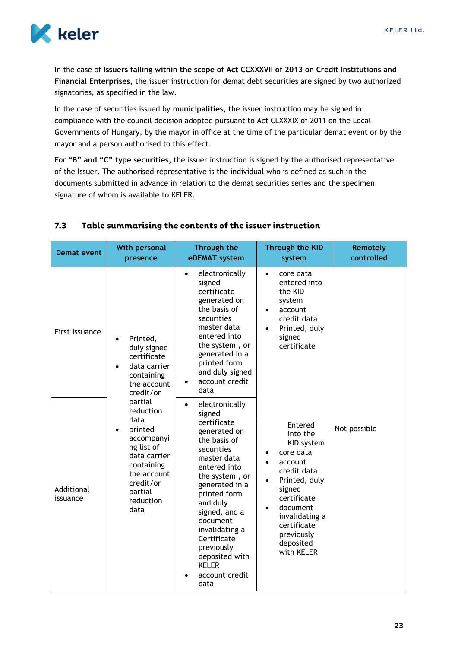

In the case of **Issuers falling within the scope of Act CCXXXVII of 2013 on Credit Institutions and Financial Enterprises,** the issuer instruction for demat debt securities are signed by two authorized signatories, as specified in the law.

In the case of securities issued by **municipalities,** the issuer instruction may be signed in compliance with the council decision adopted pursuant to Act CLXXXIX of 2011 on the Local Governments of Hungary, by the mayor in office at the time of the particular demat event or by the mayor and a person authorised to this effect.

For **"B" and "C" type securities,** the issuer instruction is signed by the authorised representative of the Issuer. The authorised representative is the individual who is defined as such in the documents submitted in advance in relation to the demat securities series and the specimen signature of whom is available to KELER.

| <b>Demat event</b>     | <b>With personal</b><br>presence                                                                                                                              | Through the<br>eDEMAT system                                                                                                                                                                                                                                                                                                              | <b>Through the KID</b><br>system                                                                                                                                                                                      | <b>Remotely</b><br>controlled |
|------------------------|---------------------------------------------------------------------------------------------------------------------------------------------------------------|-------------------------------------------------------------------------------------------------------------------------------------------------------------------------------------------------------------------------------------------------------------------------------------------------------------------------------------------|-----------------------------------------------------------------------------------------------------------------------------------------------------------------------------------------------------------------------|-------------------------------|
| First issuance         | Printed,<br>duly signed<br>certificate<br>data carrier<br>containing<br>the account<br>credit/or                                                              | electronically<br>$\bullet$<br>signed<br>certificate<br>generated on<br>the basis of<br>securities<br>master data<br>entered into<br>the system, or<br>generated in a<br>printed form<br>and duly signed<br>account credit<br>data                                                                                                        | core data<br>$\bullet$<br>entered into<br>the KID<br>system<br>account<br>$\bullet$<br>credit data<br>Printed, duly<br>$\bullet$<br>signed<br>certificate                                                             |                               |
| Additional<br>issuance | partial<br>reduction<br>data<br>printed<br>accompanyi<br>ng list of<br>data carrier<br>containing<br>the account<br>credit/or<br>partial<br>reduction<br>data | electronically<br>$\bullet$<br>signed<br>certificate<br>generated on<br>the basis of<br>securities<br>master data<br>entered into<br>the system, or<br>generated in a<br>printed form<br>and duly<br>signed, and a<br>document<br>invalidating a<br>Certificate<br>previously<br>deposited with<br><b>KELER</b><br>account credit<br>data | Entered<br>into the<br>KID system<br>core data<br>account<br>credit data<br>Printed, duly<br>$\bullet$<br>signed<br>certificate<br>document<br>invalidating a<br>certificate<br>previously<br>deposited<br>with KELER | Not possible                  |

#### <span id="page-23-0"></span> $7.3$ Table summarising the contents of the issuer instruction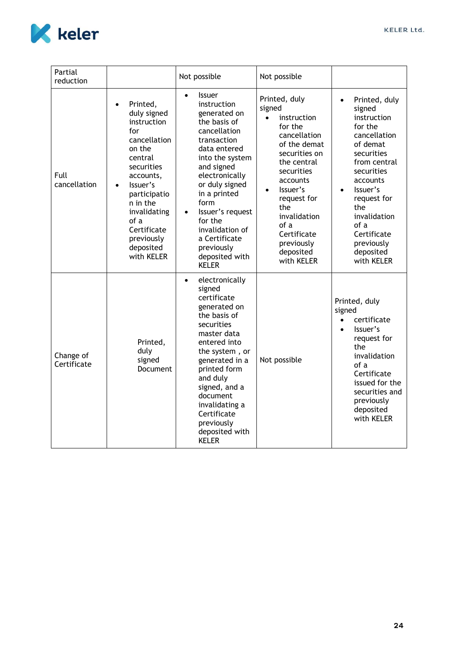

<span id="page-24-0"></span>

| Partial<br>reduction     |                                                                                                                                                                                                                                                                 | Not possible                                                                                                                                                                                                                                                                                                                                          | Not possible                                                                                                                                                                                                                                                                            |                                                                                                                                                                                                                                                                                   |
|--------------------------|-----------------------------------------------------------------------------------------------------------------------------------------------------------------------------------------------------------------------------------------------------------------|-------------------------------------------------------------------------------------------------------------------------------------------------------------------------------------------------------------------------------------------------------------------------------------------------------------------------------------------------------|-----------------------------------------------------------------------------------------------------------------------------------------------------------------------------------------------------------------------------------------------------------------------------------------|-----------------------------------------------------------------------------------------------------------------------------------------------------------------------------------------------------------------------------------------------------------------------------------|
| Full<br>cancellation     | Printed,<br>$\bullet$<br>duly signed<br>instruction<br>for<br>cancellation<br>on the<br>central<br>securities<br>accounts,<br>Issuer's<br>$\bullet$<br>participatio<br>n in the<br>invalidating<br>of a<br>Certificate<br>previously<br>deposited<br>with KELER | <b>Issuer</b><br>$\bullet$<br>instruction<br>generated on<br>the basis of<br>cancellation<br>transaction<br>data entered<br>into the system<br>and signed<br>electronically<br>or duly signed<br>in a printed<br>form<br>Issuer's request<br>$\bullet$<br>for the<br>invalidation of<br>a Certificate<br>previously<br>deposited with<br><b>KELER</b> | Printed, duly<br>signed<br>instruction<br>$\bullet$<br>for the<br>cancellation<br>of the demat<br>securities on<br>the central<br>securities<br>accounts<br>Issuer's<br>$\bullet$<br>request for<br>the<br>invalidation<br>of a<br>Certificate<br>previously<br>deposited<br>with KELER | Printed, duly<br>$\bullet$<br>signed<br>instruction<br>for the<br>cancellation<br>of demat<br>securities<br>from central<br>securities<br>accounts<br>Issuer's<br>$\bullet$<br>request for<br>the<br>invalidation<br>of a<br>Certificate<br>previously<br>deposited<br>with KELER |
| Change of<br>Certificate | Printed,<br>duly<br>signed<br>Document                                                                                                                                                                                                                          | electronically<br>$\bullet$<br>signed<br>certificate<br>generated on<br>the basis of<br>securities<br>master data<br>entered into<br>the system, or<br>generated in a<br>printed form<br>and duly<br>signed, and a<br>document<br>invalidating a<br>Certificate<br>previously<br>deposited with<br><b>KELER</b>                                       | Not possible                                                                                                                                                                                                                                                                            | Printed, duly<br>signed<br>certificate<br>$\bullet$<br>Issuer's<br>$\bullet$<br>request for<br>the<br>invalidation<br>of a<br>Certificate<br>issued for the<br>securities and<br>previously<br>deposited<br>with KELER                                                            |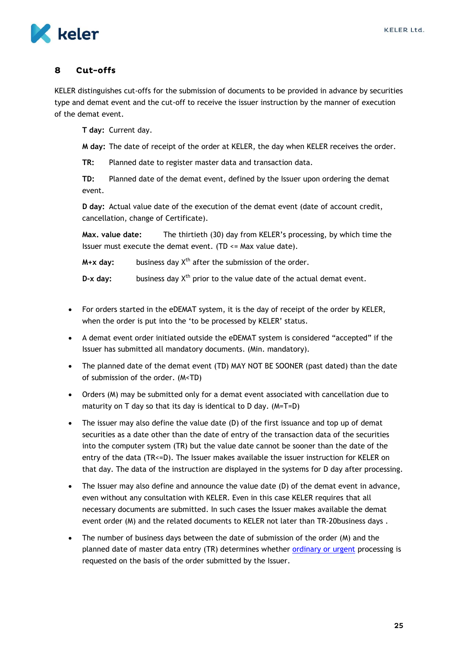

#### <span id="page-25-0"></span> $\mathbf{R}$ Cut-offs

KELER distinguishes cut-offs for the submission of documents to be provided in advance by securities type and demat event and the cut-off to receive the issuer instruction by the manner of execution of the demat event.

**T day:** Current day.

**M day:** The date of receipt of the order at KELER, the day when KELER receives the order.

**TR:** Planned date to register master data and transaction data.

**TD:** Planned date of the demat event, defined by the Issuer upon ordering the demat event.

**D day:** Actual value date of the execution of the demat event (date of account credit, cancellation, change of Certificate).

**Max. value date:** The thirtieth (30) day from KELER's processing, by which time the Issuer must execute the demat event. (TD  $\leq$  Max value date).

 $M+x$  day: business day  $X^{th}$  after the submission of the order.

**D-x day:** business day X<sup>th</sup> prior to the value date of the actual demat event.

- For orders started in the eDEMAT system, it is the day of receipt of the order by KELER, when the order is put into the 'to be processed by KELER' status.
- A demat event order initiated outside the eDEMAT system is considered "accepted" if the Issuer has submitted all mandatory documents. (Min. mandatory).
- The planned date of the demat event (TD) MAY NOT BE SOONER (past dated) than the date of submission of the order. (M<TD)
- Orders (M) may be submitted only for a demat event associated with cancellation due to maturity on T day so that its day is identical to D day. (M=T=D)
- The issuer may also define the value date (D) of the first issuance and top up of demat securities as a date other than the date of entry of the transaction data of the securities into the computer system (TR) but the value date cannot be sooner than the date of the entry of the data (TR<=D). The Issuer makes available the issuer instruction for KELER on that day. The data of the instruction are displayed in the systems for D day after processing.
- The Issuer may also define and announce the value date (D) of the demat event in advance, even without any consultation with KELER. Even in this case KELER requires that all necessary documents are submitted. In such cases the Issuer makes available the demat event order (M) and the related documents to KELER not later than TR-20business days .
- The number of business days between the date of submission of the order (M) and the planned date of master data entry (TR) determines whether [ordinary or urgent](#page-26-1) processing is requested on the basis of the order submitted by the Issuer.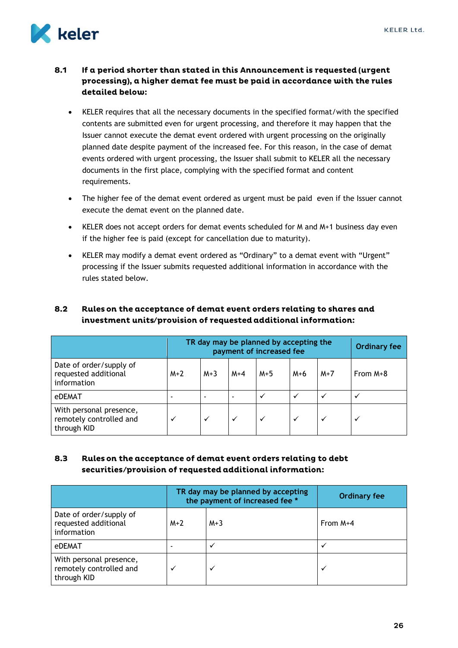

### <span id="page-26-0"></span>If a period shorter than stated in this Announcement is requested (urgent  $8.1$ processing), a higher demat fee must be paid in accordance with the rules detailed below:

- KELER requires that all the necessary documents in the specified format/with the specified contents are submitted even for urgent processing, and therefore it may happen that the Issuer cannot execute the demat event ordered with urgent processing on the originally planned date despite payment of the increased fee. For this reason, in the case of demat events ordered with urgent processing, the Issuer shall submit to KELER all the necessary documents in the first place, complying with the specified format and content requirements.
- The higher fee of the demat event ordered as urgent must be paid even if the Issuer cannot execute the demat event on the planned date.
- KELER does not accept orders for demat events scheduled for M and M+1 business day even if the higher fee is paid (except for cancellation due to maturity).
- KELER may modify a demat event ordered as "Ordinary" to a demat event with "Urgent" processing if the Issuer submits requested additional information in accordance with the rules stated below.

### <span id="page-26-1"></span> $8.2$ Rules on the acceptance of demat event orders relating to shares and investment units/provision of requested additional information:

|                                                                   | TR day may be planned by accepting the<br>payment of increased fee |              |              |              |       |       | <b>Ordinary fee</b> |
|-------------------------------------------------------------------|--------------------------------------------------------------------|--------------|--------------|--------------|-------|-------|---------------------|
| Date of order/supply of<br>requested additional<br>information    | $M+2$                                                              | $M+3$        | $M+4$        | $M+5$        | $M+6$ | $M+7$ | From $M+8$          |
| eDEMAT                                                            |                                                                    |              |              | $\checkmark$ | ✓     | ✓     | $\checkmark$        |
| With personal presence,<br>remotely controlled and<br>through KID |                                                                    | $\checkmark$ | $\checkmark$ | ✓            |       | ✓     | ✓                   |

### <span id="page-26-2"></span> $8.3$ Rules on the acceptance of demat event orders relating to debt securities/provision of requested additional information:

|                                                                   |       | TR day may be planned by accepting<br>the payment of increased fee * | <b>Ordinary fee</b> |
|-------------------------------------------------------------------|-------|----------------------------------------------------------------------|---------------------|
| Date of order/supply of<br>requested additional<br>information    | $M+2$ | $M+3$                                                                | From $M+4$          |
| eDEMAT                                                            |       |                                                                      |                     |
| With personal presence,<br>remotely controlled and<br>through KID |       |                                                                      |                     |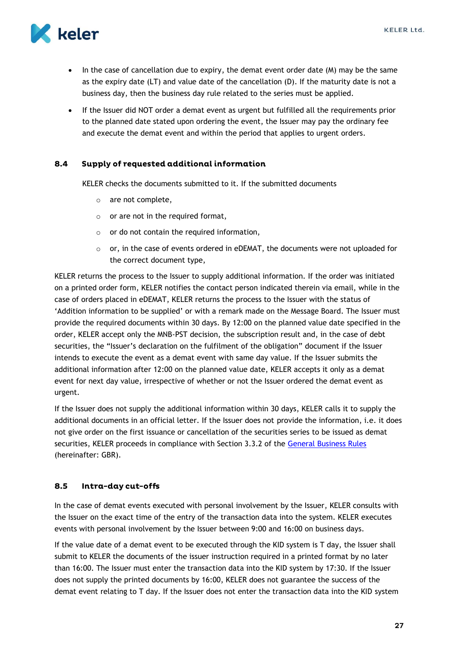

- $\bullet$  In the case of cancellation due to expiry, the demat event order date  $(M)$  may be the same as the expiry date (LT) and value date of the cancellation (D). If the maturity date is not a business day, then the business day rule related to the series must be applied.
- If the Issuer did NOT order a demat event as urgent but fulfilled all the requirements prior to the planned date stated upon ordering the event, the Issuer may pay the ordinary fee and execute the demat event and within the period that applies to urgent orders.

#### <span id="page-27-0"></span>8.4 Supply of requested additional information

KELER checks the documents submitted to it. If the submitted documents

- o are not complete,
- $\circ$  or are not in the required format,
- $\circ$  or do not contain the required information,
- $\circ$  or, in the case of events ordered in eDEMAT, the documents were not uploaded for the correct document type,

KELER returns the process to the Issuer to supply additional information. If the order was initiated on a printed order form, KELER notifies the contact person indicated therein via email, while in the case of orders placed in eDEMAT, KELER returns the process to the Issuer with the status of 'Addition information to be supplied' or with a remark made on the Message Board. The Issuer must provide the required documents within 30 days. By 12:00 on the planned value date specified in the order, KELER accept only the MNB-PST decision, the subscription result and, in the case of debt securities, the "Issuer's declaration on the fulfilment of the obligation" document if the Issuer intends to execute the event as a demat event with same day value. If the Issuer submits the additional information after 12:00 on the planned value date, KELER accepts it only as a demat event for next day value, irrespective of whether or not the Issuer ordered the demat event as urgent.

If the Issuer does not supply the additional information within 30 days, KELER calls it to supply the additional documents in an official letter. If the Issuer does not provide the information, i.e. it does not give order on the first issuance or cancellation of the securities series to be issued as demat securities, KELER proceeds in compliance with Section 3.3.2 of the [General Business Rules](https://english.keler.hu/Key%20documents/Regulatory%20documents/General%20Business%20Rules/) (hereinafter: GBR).

#### <span id="page-27-1"></span> $8.5$ Intra-day cut-offs

In the case of demat events executed with personal involvement by the Issuer, KELER consults with the Issuer on the exact time of the entry of the transaction data into the system. KELER executes events with personal involvement by the Issuer between 9:00 and 16:00 on business days.

If the value date of a demat event to be executed through the KID system is T day, the Issuer shall submit to KELER the documents of the issuer instruction required in a printed format by no later than 16:00. The Issuer must enter the transaction data into the KID system by 17:30. If the Issuer does not supply the printed documents by 16:00, KELER does not guarantee the success of the demat event relating to T day. If the Issuer does not enter the transaction data into the KID system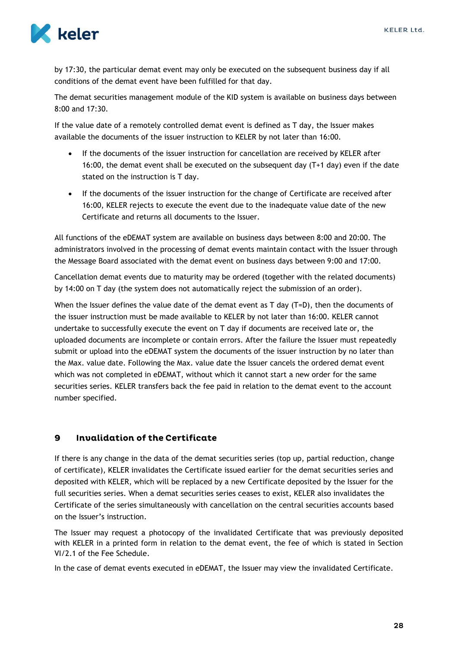

by 17:30, the particular demat event may only be executed on the subsequent business day if all conditions of the demat event have been fulfilled for that day.

The demat securities management module of the KID system is available on business days between 8:00 and 17:30.

If the value date of a remotely controlled demat event is defined as T day, the Issuer makes available the documents of the issuer instruction to KELER by not later than 16:00.

- If the documents of the issuer instruction for cancellation are received by KELER after 16:00, the demat event shall be executed on the subsequent day (T+1 day) even if the date stated on the instruction is T day.
- If the documents of the issuer instruction for the change of Certificate are received after 16:00, KELER rejects to execute the event due to the inadequate value date of the new Certificate and returns all documents to the Issuer.

All functions of the eDEMAT system are available on business days between 8:00 and 20:00. The administrators involved in the processing of demat events maintain contact with the Issuer through the Message Board associated with the demat event on business days between 9:00 and 17:00.

Cancellation demat events due to maturity may be ordered (together with the related documents) by 14:00 on T day (the system does not automatically reject the submission of an order).

When the Issuer defines the value date of the demat event as  $T$  day  $(T=D)$ , then the documents of the issuer instruction must be made available to KELER by not later than 16:00. KELER cannot undertake to successfully execute the event on T day if documents are received late or, the uploaded documents are incomplete or contain errors. After the failure the Issuer must repeatedly submit or upload into the eDEMAT system the documents of the issuer instruction by no later than the Max. value date. Following the Max. value date the Issuer cancels the ordered demat event which was not completed in eDEMAT, without which it cannot start a new order for the same securities series. KELER transfers back the fee paid in relation to the demat event to the account number specified.

#### <span id="page-28-0"></span>**Invalidation of the Certificate**  $\mathbf{9}$

If there is any change in the data of the demat securities series (top up, partial reduction, change of certificate), KELER invalidates the Certificate issued earlier for the demat securities series and deposited with KELER, which will be replaced by a new Certificate deposited by the Issuer for the full securities series. When a demat securities series ceases to exist, KELER also invalidates the Certificate of the series simultaneously with cancellation on the central securities accounts based on the Issuer's instruction.

The Issuer may request a photocopy of the invalidated Certificate that was previously deposited with KELER in a printed form in relation to the demat event, the fee of which is stated in Section VI/2.1 of the Fee Schedule.

In the case of demat events executed in eDEMAT, the Issuer may view the invalidated Certificate.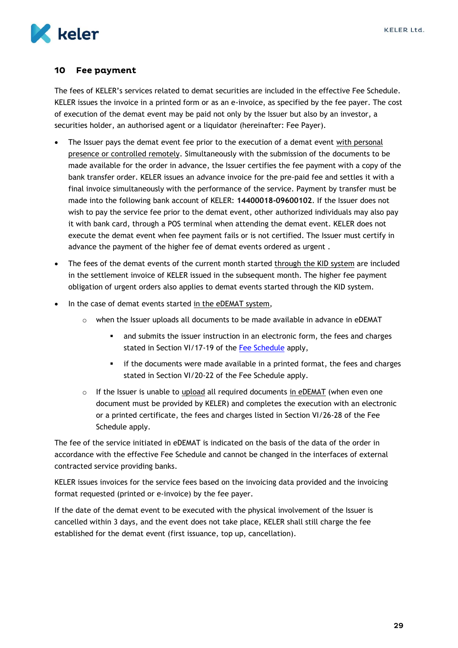

#### <span id="page-29-0"></span>10 **Fee payment**

The fees of KELER's services related to demat securities are included in the effective Fee Schedule. KELER issues the invoice in a printed form or as an e-invoice, as specified by the fee payer. The cost of execution of the demat event may be paid not only by the Issuer but also by an investor, a securities holder, an authorised agent or a liquidator (hereinafter: Fee Payer).

- The Issuer pays the demat event fee prior to the execution of a demat event with personal presence or controlled remotely. Simultaneously with the submission of the documents to be made available for the order in advance, the Issuer certifies the fee payment with a copy of the bank transfer order. KELER issues an advance invoice for the pre-paid fee and settles it with a final invoice simultaneously with the performance of the service. Payment by transfer must be made into the following bank account of KELER: **14400018-09600102**. If the Issuer does not wish to pay the service fee prior to the demat event, other authorized individuals may also pay it with bank card, through a POS terminal when attending the demat event. KELER does not execute the demat event when fee payment fails or is not certified. The Issuer must certify in advance the payment of the higher fee of demat events ordered as urgent .
- The fees of the demat events of the current month started through the KID system are included in the settlement invoice of KELER issued in the subsequent month. The higher fee payment obligation of urgent orders also applies to demat events started through the KID system.
- In the case of demat events started in the eDEMAT system,
	- $\circ$  when the Issuer uploads all documents to be made available in advance in eDEMAT
		- and submits the issuer instruction in an electronic form, the fees and charges stated in Section VI/17-19 of the [Fee Schedule](https://english.keler.hu/Key%20documents/Regulatory%20documents/Fee%20Schedules/) apply,
		- if the documents were made available in a printed format, the fees and charges stated in Section VI/20-22 of the Fee Schedule apply.
	- $\circ$  If the Issuer is unable to upload all required documents in eDEMAT (when even one document must be provided by KELER) and completes the execution with an electronic or a printed certificate, the fees and charges listed in Section VI/26-28 of the Fee Schedule apply.

The fee of the service initiated in eDEMAT is indicated on the basis of the data of the order in accordance with the effective Fee Schedule and cannot be changed in the interfaces of external contracted service providing banks.

KELER issues invoices for the service fees based on the invoicing data provided and the invoicing format requested (printed or e-invoice) by the fee payer.

If the date of the demat event to be executed with the physical involvement of the Issuer is cancelled within 3 days, and the event does not take place, KELER shall still charge the fee established for the demat event (first issuance, top up, cancellation).